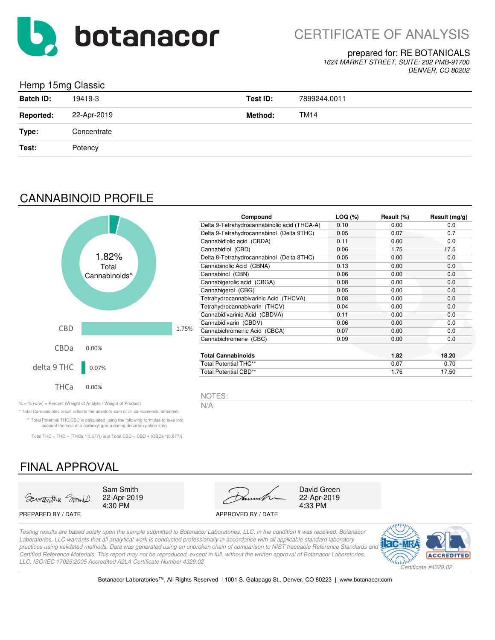

#### prepared for: RE BOTANICALS

*1624 MARKET STREET, SUITE: 202 PMB-91700 DENVER, CO 80202*

## Hemp 15mg Classic

| <b>Batch ID:</b> | 19419-3     | Test ID:       | 7899244.0011 |
|------------------|-------------|----------------|--------------|
| <b>Reported:</b> | 22-Apr-2019 | <b>Method:</b> | TM14         |
| Type:            | Concentrate |                |              |
| Test:            | Potency     |                |              |
|                  |             |                |              |

## CANNABINOID PROFILE



| Compound                                     | LOG (%) | Result (%) | Result $(mg/g)$ |
|----------------------------------------------|---------|------------|-----------------|
| Delta 9-Tetrahydrocannabinolic acid (THCA-A) | 0.10    | 0.00       | 0.0             |
| Delta 9-Tetrahydrocannabinol (Delta 9THC)    | 0.05    | 0.07       | 0.7             |
| Cannabidiolic acid (CBDA)                    | 0.11    | 0.00       | 0.0             |
| Cannabidiol (CBD)                            | 0.06    | 1.75       | 17.5            |
| Delta 8-Tetrahydrocannabinol (Delta 8THC)    | 0.05    | 0.00       | 0.0             |
| Cannabinolic Acid (CBNA)                     | 0.13    | 0.00       | 0.0             |
| Cannabinol (CBN)                             | 0.06    | 0.00       | 0.0             |
| Cannabigerolic acid (CBGA)                   | 0.08    | 0.00       | 0.0             |
| Cannabigerol (CBG)                           | 0.05    | 0.00       | 0.0             |
| Tetrahydrocannabivarinic Acid (THCVA)        | 0.08    | 0.00       | 0.0             |
| Tetrahydrocannabivarin (THCV)                | 0.04    | 0.00       | 0.0             |
| Cannabidivarinic Acid (CBDVA)                | 0.11    | 0.00       | 0.0             |
| Cannabidivarin (CBDV)                        | 0.06    | 0.00       | 0.0             |
| Cannabichromenic Acid (CBCA)                 | 0.07    | 0.00       | 0.0             |
| Cannabichromene (CBC)                        | 0.09    | 0.00       | 0.0             |
| <b>Total Cannabinoids</b>                    |         | 1.82       | 18.20           |
| <b>Total Potential THC**</b>                 |         | 0.07       | 0.70            |
| Total Potential CBD**                        |         | 1.75       | 17.50           |

NOTES:

% = % (w/w) = Percent (Weight of Analyte / Weight of Product)  $N/A$ 

\* Total Cannabinoids result reflects the absolute sum of all cannabinoids detected. \*\* Total Potential THC/CBD is calculated using the following formulas to take into account the loss of a carboxyl group during decarboxylation step.

Total THC = THC + (THCa  $*(0.877)$ ) and Total CBD = CBD + (CBDa  $*(0.877)$ )

# FINAL APPROVAL



22-Apr-2019

PREPARED BY / DATE APPROVED BY / DATE



22-Apr-2019

*Testing results are based solely upon the sample submitted to Botanacor Laboratories, LLC, in the condition it was received. Botanacor Laboratories, LLC warrants that all analytical work is conducted professionally in accordance with all applicable standard laboratory practices using validated methods. Data was generated using an unbroken chain of comparison to NIST traceable Reference Standards and Certified Reference Materials. This report may not be reproduced, except in full, without the written approval of Botanacor Laboratories, LLC. ISO/IEC 17025:2005 Accredited A2LA Certificate Number 4329.02*



Botanacor Laboratories™, All Rights Reserved | 1001 S. Galapago St., Denver, CO 80223 | www.botanacor.com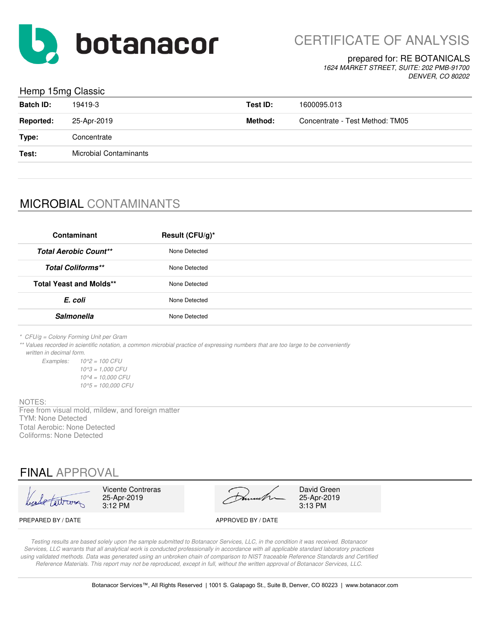

CERTIFICATE OF ANALYSIS

### prepared for: RE BOTANICALS

*1624 MARKET STREET, SUITE: 202 PMB-91700 DENVER, CO 80202*

### Hemp 15mg Classic

| <b>Batch ID:</b> | 19419-3                       | Test ID: | 1600095.013                     |
|------------------|-------------------------------|----------|---------------------------------|
| <b>Reported:</b> | 25-Apr-2019                   | Method:  | Concentrate - Test Method: TM05 |
| Type:            | Concentrate                   |          |                                 |
| Test:            | <b>Microbial Contaminants</b> |          |                                 |
|                  |                               |          |                                 |

## MICROBIAL CONTAMINANTS

| Contaminant                    | Result (CFU/g)* |
|--------------------------------|-----------------|
| <b>Total Aerobic Count**</b>   | None Detected   |
| <b>Total Coliforms**</b>       | None Detected   |
| <b>Total Yeast and Molds**</b> | None Detected   |
| E. coli                        | None Detected   |
| <b>Salmonella</b>              | None Detected   |

*\* CFU/g = Colony Forming Unit per Gram*

*\*\* Values recorded in scientific notation, a common microbial practice of expressing numbers that are too large to be conveniently written in decimal form.*

*Examples: 10^2 = 100 CFU 10^3 = 1,000 CFU 10^4 = 10,000 CFU 10^5 = 100,000 CFU*

#### NOTES:

Free from visual mold, mildew, and foreign matter TYM: None Detected Total Aerobic: None Detected Coliforms: None Detected

## FINAL APPROVAL

| header tart com | <b>Vicente Contreras</b><br>25-Apr-2019<br>$3:12$ PM |  | Dunnette | David G<br>$25-Apr-2$<br>3:13 PM |
|-----------------|------------------------------------------------------|--|----------|----------------------------------|
|-----------------|------------------------------------------------------|--|----------|----------------------------------|

25-Apr-2019<br>3:13 PM David Green

PREPARED BY / DATE APPROVED BY / DATE

*Testing results are based solely upon the sample submitted to Botanacor Services, LLC, in the condition it was received. Botanacor Services, LLC warrants that all analytical work is conducted professionally in accordance with all applicable standard laboratory practices using validated methods. Data was generated using an unbroken chain of comparison to NIST traceable Reference Standards and Certified Reference Materials. This report may not be reproduced, except in full, without the written approval of Botanacor Services, LLC.*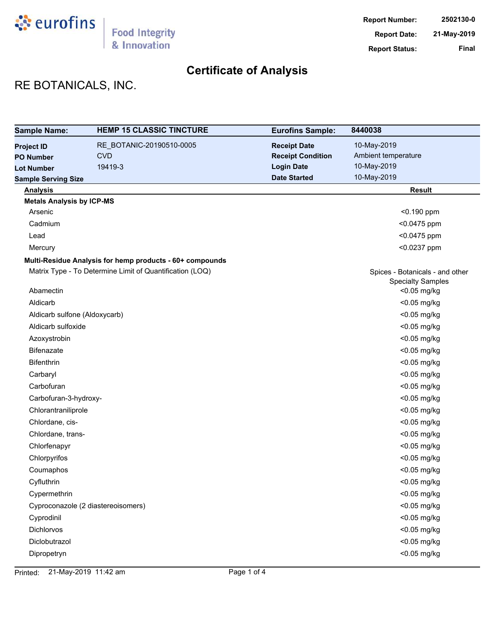

# RE BOTANICALS, INC.

| <b>Sample Name:</b>                | <b>HEMP 15 CLASSIC TINCTURE</b>                          | <b>Eurofins Sample:</b>  | 8440038                         |
|------------------------------------|----------------------------------------------------------|--------------------------|---------------------------------|
| <b>Project ID</b>                  | RE_BOTANIC-20190510-0005                                 | <b>Receipt Date</b>      | 10-May-2019                     |
| <b>PO Number</b>                   | <b>CVD</b>                                               | <b>Receipt Condition</b> | Ambient temperature             |
| <b>Lot Number</b>                  | 19419-3                                                  | <b>Login Date</b>        | 10-May-2019                     |
| <b>Sample Serving Size</b>         |                                                          | <b>Date Started</b>      | 10-May-2019                     |
| <b>Analysis</b>                    |                                                          |                          | <b>Result</b>                   |
| <b>Metals Analysis by ICP-MS</b>   |                                                          |                          |                                 |
| Arsenic                            |                                                          |                          | $< 0.190$ ppm                   |
| Cadmium                            |                                                          |                          | <0.0475 ppm                     |
| Lead                               |                                                          |                          | <0.0475 ppm                     |
| Mercury                            |                                                          |                          | <0.0237 ppm                     |
|                                    | Multi-Residue Analysis for hemp products - 60+ compounds |                          |                                 |
|                                    | Matrix Type - To Determine Limit of Quantification (LOQ) |                          | Spices - Botanicals - and other |
|                                    |                                                          |                          | <b>Specialty Samples</b>        |
| Abamectin                          |                                                          |                          | <0.05 mg/kg                     |
| Aldicarb                           |                                                          |                          | <0.05 mg/kg                     |
| Aldicarb sulfone (Aldoxycarb)      |                                                          |                          | <0.05 mg/kg                     |
| Aldicarb sulfoxide                 |                                                          |                          | <0.05 mg/kg                     |
| Azoxystrobin                       |                                                          |                          | <0.05 mg/kg                     |
| Bifenazate                         |                                                          |                          | <0.05 mg/kg                     |
| Bifenthrin                         |                                                          |                          | <0.05 mg/kg                     |
| Carbaryl                           |                                                          |                          | <0.05 mg/kg                     |
| Carbofuran                         |                                                          |                          | <0.05 mg/kg                     |
| Carbofuran-3-hydroxy-              |                                                          |                          | <0.05 mg/kg                     |
| Chlorantraniliprole                |                                                          |                          | <0.05 mg/kg                     |
| Chlordane, cis-                    |                                                          |                          | <0.05 mg/kg                     |
| Chlordane, trans-                  |                                                          |                          | <0.05 mg/kg                     |
| Chlorfenapyr                       |                                                          |                          | <0.05 mg/kg                     |
| Chlorpyrifos                       |                                                          |                          | <0.05 mg/kg                     |
| Coumaphos                          |                                                          |                          | <0.05 mg/kg                     |
| Cyfluthrin                         |                                                          |                          | <0.05 mg/kg                     |
| Cypermethrin                       |                                                          |                          | <0.05 mg/kg                     |
| Cyproconazole (2 diastereoisomers) |                                                          |                          | <0.05 mg/kg                     |
| Cyprodinil                         |                                                          |                          | <0.05 mg/kg                     |
| Dichlorvos                         |                                                          |                          | <0.05 mg/kg                     |
| Diclobutrazol                      |                                                          |                          | <0.05 mg/kg                     |
| Dipropetryn                        |                                                          |                          | <0.05 mg/kg                     |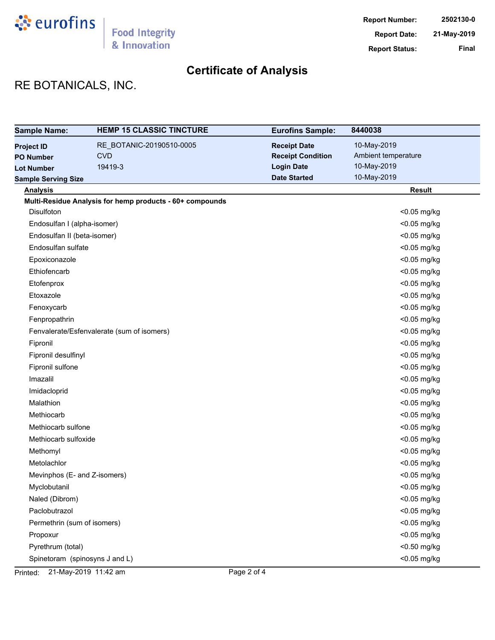

# RE BOTANICALS, INC.

| <b>Sample Name:</b>            | <b>HEMP 15 CLASSIC TINCTURE</b>                          | <b>Eurofins Sample:</b>  | 8440038             |
|--------------------------------|----------------------------------------------------------|--------------------------|---------------------|
| <b>Project ID</b>              | RE_BOTANIC-20190510-0005                                 | <b>Receipt Date</b>      | 10-May-2019         |
| <b>PO Number</b>               | <b>CVD</b>                                               | <b>Receipt Condition</b> | Ambient temperature |
| <b>Lot Number</b>              | 19419-3                                                  | <b>Login Date</b>        | 10-May-2019         |
| <b>Sample Serving Size</b>     |                                                          | <b>Date Started</b>      | 10-May-2019         |
| <b>Analysis</b>                |                                                          |                          | <b>Result</b>       |
|                                | Multi-Residue Analysis for hemp products - 60+ compounds |                          |                     |
| <b>Disulfoton</b>              |                                                          |                          | <0.05 mg/kg         |
| Endosulfan I (alpha-isomer)    |                                                          |                          | <0.05 mg/kg         |
| Endosulfan II (beta-isomer)    |                                                          |                          | <0.05 mg/kg         |
| Endosulfan sulfate             |                                                          |                          | <0.05 mg/kg         |
| Epoxiconazole                  |                                                          |                          | <0.05 mg/kg         |
| Ethiofencarb                   |                                                          |                          | <0.05 mg/kg         |
| Etofenprox                     |                                                          |                          | <0.05 mg/kg         |
| Etoxazole                      |                                                          |                          | <0.05 mg/kg         |
| Fenoxycarb                     |                                                          |                          | <0.05 mg/kg         |
| Fenpropathrin                  |                                                          |                          | <0.05 mg/kg         |
|                                | Fenvalerate/Esfenvalerate (sum of isomers)               |                          | <0.05 mg/kg         |
| Fipronil                       |                                                          |                          | <0.05 mg/kg         |
| Fipronil desulfinyl            |                                                          |                          | <0.05 mg/kg         |
| Fipronil sulfone               |                                                          |                          | <0.05 mg/kg         |
| Imazalil                       |                                                          |                          | <0.05 mg/kg         |
| Imidacloprid                   |                                                          |                          | <0.05 mg/kg         |
| Malathion                      |                                                          |                          | <0.05 mg/kg         |
| Methiocarb                     |                                                          |                          | <0.05 mg/kg         |
| Methiocarb sulfone             |                                                          |                          | <0.05 mg/kg         |
| Methiocarb sulfoxide           |                                                          |                          | <0.05 mg/kg         |
| Methomyl                       |                                                          |                          | <0.05 mg/kg         |
| Metolachlor                    |                                                          |                          | <0.05 mg/kg         |
| Mevinphos (E- and Z-isomers)   |                                                          |                          | <0.05 mg/kg         |
| Myclobutanil                   |                                                          |                          | <0.05 mg/kg         |
| Naled (Dibrom)                 |                                                          |                          | <0.05 mg/kg         |
| Paclobutrazol                  |                                                          |                          | <0.05 mg/kg         |
| Permethrin (sum of isomers)    |                                                          |                          | <0.05 mg/kg         |
| Propoxur                       |                                                          |                          | <0.05 mg/kg         |
| Pyrethrum (total)              |                                                          |                          | <0.50 mg/kg         |
| Spinetoram (spinosyns J and L) |                                                          |                          | <0.05 mg/kg         |

Printed: 21-May-2019 11:42 am Page 2 of 4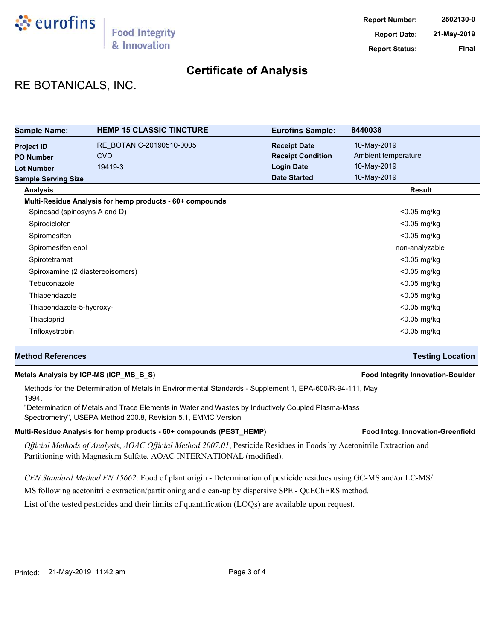

## RE BOTANICALS, INC.

| <b>Sample Name:</b>          | <b>HEMP 15 CLASSIC TINCTURE</b>                          | <b>Eurofins Sample:</b>  | 8440038             |
|------------------------------|----------------------------------------------------------|--------------------------|---------------------|
| <b>Project ID</b>            | RE BOTANIC-20190510-0005                                 | <b>Receipt Date</b>      | 10-May-2019         |
| <b>PO Number</b>             | <b>CVD</b>                                               | <b>Receipt Condition</b> | Ambient temperature |
| <b>Lot Number</b>            | 19419-3                                                  | <b>Login Date</b>        | 10-May-2019         |
| <b>Sample Serving Size</b>   |                                                          | <b>Date Started</b>      | 10-May-2019         |
| <b>Analysis</b>              |                                                          |                          | <b>Result</b>       |
|                              | Multi-Residue Analysis for hemp products - 60+ compounds |                          |                     |
| Spinosad (spinosyns A and D) |                                                          |                          | $<$ 0.05 mg/kg      |
| Spirodiclofen                |                                                          |                          | <0.05 mg/kg         |
| Spiromesifen                 |                                                          |                          | $<$ 0.05 mg/kg      |
| Spiromesifen enol            |                                                          |                          | non-analyzable      |
| Spirotetramat                |                                                          |                          | $<$ 0.05 mg/kg      |
|                              | Spiroxamine (2 diastereoisomers)                         |                          | $<$ 0.05 mg/kg      |
| Tebuconazole                 |                                                          |                          | <0.05 mg/kg         |
| Thiabendazole                |                                                          |                          | $<$ 0.05 mg/kg      |
| Thiabendazole-5-hydroxy-     |                                                          |                          | <0.05 mg/kg         |
| Thiacloprid                  |                                                          |                          | $<$ 0.05 mg/kg      |
| Trifloxystrobin              |                                                          |                          | $<$ 0.05 mg/kg      |

## **Method References Testing Location**

### **Metals Analysis by ICP-MS (ICP\_MS\_B\_S) Food Integrity Innovation-Boulder**

## Methods for the Determination of Metals in Environmental Standards - Supplement 1, EPA-600/R-94-111, May 1994.

"Determination of Metals and Trace Elements in Water and Wastes by Inductively Coupled Plasma-Mass Spectrometry", USEPA Method 200.8, Revision 5.1, EMMC Version.

### Multi-Residue Analysis for hemp products - 60+ compounds (PEST\_HEMP) **Food Integ. Innovation-Greenfield**

*Official Methods of Analysis*, *AOAC Official Method 2007.01*, Pesticide Residues in Foods by Acetonitrile Extraction and Partitioning with Magnesium Sulfate, AOAC INTERNATIONAL (modified).

*CEN Standard Method EN 15662*: Food of plant origin - Determination of pesticide residues using GC-MS and/or LC-MS/

MS following acetonitrile extraction/partitioning and clean-up by dispersive SPE - QuEChERS method.

List of the tested pesticides and their limits of quantification (LOQs) are available upon request.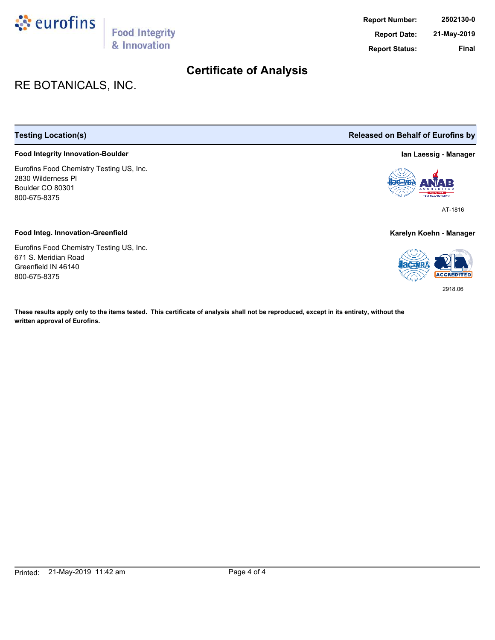

# RE BOTANICALS, INC.

## **Food Integrity Innovation-Boulder Ian Laessig - Manager**

Eurofins Food Chemistry Testing US, Inc. 2830 Wilderness Pl Boulder CO 80301 800-675-8375

#### **Food Integ. Innovation-Greenfield Karelyn Koehn - Manager**

Eurofins Food Chemistry Testing US, Inc. 671 S. Meridian Road Greenfield IN 46140 800-675-8375

**These results apply only to the items tested. This certificate of analysis shall not be reproduced, except in its entirety, without the written approval of Eurofins.**

**Testing Location(s) Released on Behalf of Eurofins by**



AT-1816



2918.06